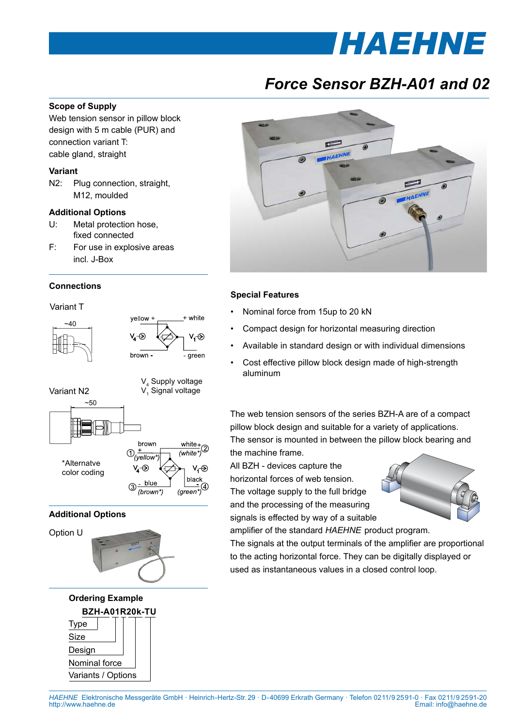# *[HAEHNE](http://www.haehne.de)*

## *Force Sensor BZH-A01 and 02*

#### **Scope of Supply**

Web tension sensor in pillow block design with 5 m cable (PUR) and connection variant T: cable gland, straight

#### **Variant**

N2: Plug connection, straight, M12, moulded

#### **Additional Options**

- U: Metal protection hose, fixed connected
- F: For use in explosive areas incl. J-Box

#### **Connections**

Variant T





#### **Additional Options**







### **Special Features**

- Nominal force from 15up to 20 kN
- Compact design for horizontal measuring direction
- Available in standard design or with individual dimensions
- Cost effective pillow block design made of high-strength aluminum

The web tension sensors of the series BZH-A are of a compact pillow block design and suitable for a variety of applications. The sensor is mounted in between the pillow block bearing and the machine frame.

All BZH - devices capture the

horizontal forces of web tension. The voltage supply to the full bridge and the processing of the measuring signals is effected by way of a suitable



amplifier of the standard *HAEHNE* product program.

The signals at the output terminals of the amplifier are proportional to the acting horizontal force. They can be digitally displayed or used as instantaneous values in a closed control loop.